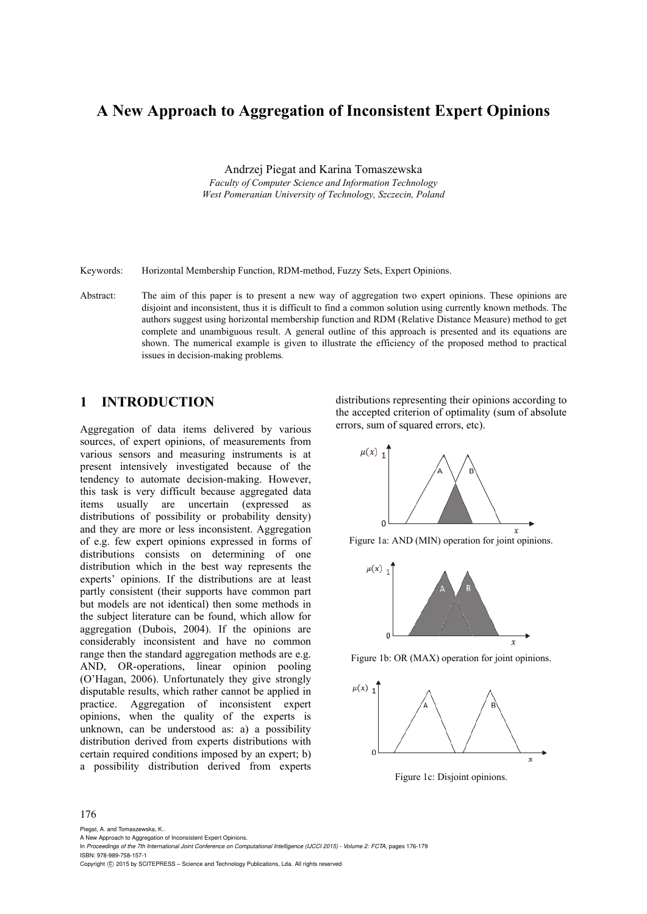# **A New Approach to Aggregation of Inconsistent Expert Opinions**

Andrzej Piegat and Karina Tomaszewska *Faculty of Computer Science and Information Technology West Pomeranian University of Technology, Szczecin, Poland* 

Keywords: Horizontal Membership Function, RDM-method, Fuzzy Sets, Expert Opinions.

Abstract: The aim of this paper is to present a new way of aggregation two expert opinions. These opinions are disjoint and inconsistent, thus it is difficult to find a common solution using currently known methods. The authors suggest using horizontal membership function and RDM (Relative Distance Measure) method to get complete and unambiguous result. A general outline of this approach is presented and its equations are shown. The numerical example is given to illustrate the efficiency of the proposed method to practical issues in decision-making problems*.* 

## **1 INTRODUCTION**

Aggregation of data items delivered by various sources, of expert opinions, of measurements from various sensors and measuring instruments is at present intensively investigated because of the tendency to automate decision-making. However, this task is very difficult because aggregated data items usually are uncertain (expressed as distributions of possibility or probability density) and they are more or less inconsistent. Aggregation of e.g. few expert opinions expressed in forms of distributions consists on determining of one distribution which in the best way represents the experts' opinions. If the distributions are at least partly consistent (their supports have common part but models are not identical) then some methods in the subject literature can be found, which allow for aggregation (Dubois, 2004). If the opinions are considerably inconsistent and have no common range then the standard aggregation methods are e.g. AND, OR-operations, linear opinion pooling (O'Hagan, 2006). Unfortunately they give strongly disputable results, which rather cannot be applied in practice. Aggregation of inconsistent expert opinions, when the quality of the experts is unknown, can be understood as: a) a possibility distribution derived from experts distributions with certain required conditions imposed by an expert; b) a possibility distribution derived from experts

distributions representing their opinions according to the accepted criterion of optimality (sum of absolute errors, sum of squared errors, etc).



Figure 1a: AND (MIN) operation for joint opinions.



Figure 1b: OR (MAX) operation for joint opinions.



Figure 1c: Disjoint opinions.

#### 176

Piegat, A. and Tomaszewska, K..

Copyright C 2015 by SCITEPRESS - Science and Technology Publications, Lda. All rights reserved

A New Approach to Aggregation of Inconsistent Expert Opinions.

In *Proceedings of the 7th International Joint Conference on Computational Intelligence (IJCCI 2015) - Volume 2: FCTA*, pages 176-179 ISBN: 978-989-758-157-1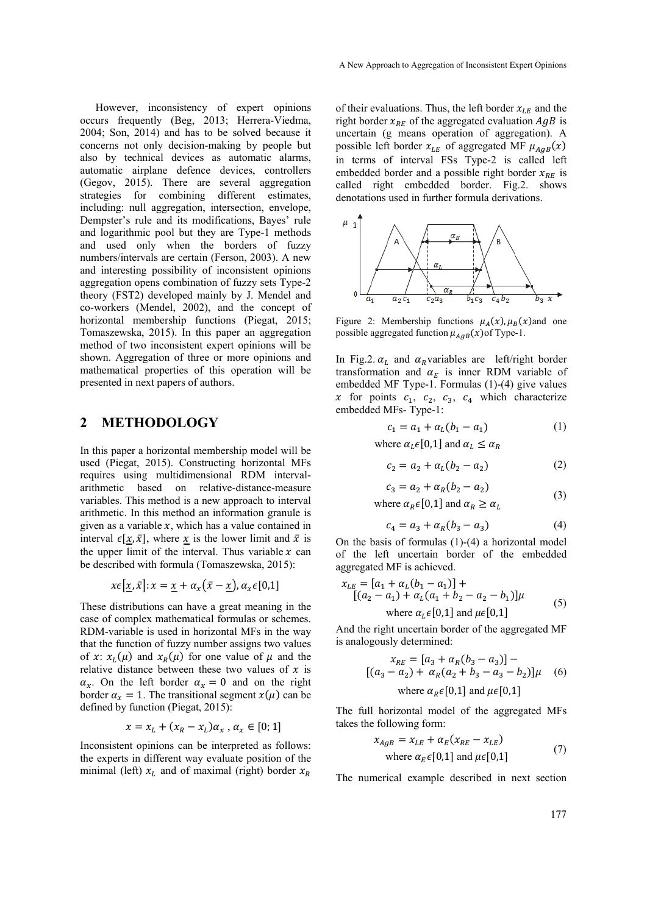However, inconsistency of expert opinions occurs frequently (Beg, 2013; Herrera-Viedma, 2004; Son, 2014) and has to be solved because it concerns not only decision-making by people but also by technical devices as automatic alarms, automatic airplane defence devices, controllers (Gegov, 2015). There are several aggregation strategies for combining different estimates, including: null aggregation, intersection, envelope, Dempster's rule and its modifications, Bayes' rule and logarithmic pool but they are Type-1 methods and used only when the borders of fuzzy numbers/intervals are certain (Ferson, 2003). A new and interesting possibility of inconsistent opinions aggregation opens combination of fuzzy sets Type-2 theory (FST2) developed mainly by J. Mendel and co-workers (Mendel, 2002), and the concept of horizontal membership functions (Piegat, 2015; Tomaszewska, 2015). In this paper an aggregation method of two inconsistent expert opinions will be shown. Aggregation of three or more opinions and mathematical properties of this operation will be presented in next papers of authors.

## **2 METHODOLOGY**

In this paper a horizontal membership model will be used (Piegat, 2015). Constructing horizontal MFs requires using multidimensional RDM intervalarithmetic based on relative-distance-measure variables. This method is a new approach to interval arithmetic. In this method an information granule is given as a variable  $x$ , which has a value contained in interval  $\epsilon[x, \bar{x}]$ , where x is the lower limit and  $\bar{x}$  is the upper limit of the interval. Thus variable  $x$  can be described with formula (Tomaszewska, 2015):

$$
x\epsilon[\underline{x}, \bar{x}]; x = \underline{x} + \alpha_x(\bar{x} - \underline{x}), \alpha_x \epsilon[0,1]
$$

These distributions can have a great meaning in the case of complex mathematical formulas or schemes. RDM-variable is used in horizontal MFs in the way that the function of fuzzy number assigns two values of x:  $x_L(\mu)$  and  $x_R(\mu)$  for one value of  $\mu$  and the relative distance between these two values of  $x$  is  $\alpha_x$ . On the left border  $\alpha_x = 0$  and on the right border  $\alpha_x = 1$ . The transitional segment  $x(\mu)$  can be defined by function (Piegat, 2015):

$$
x = x_L + (x_R - x_L)\alpha_x, \alpha_x \in [0; 1]
$$

Inconsistent opinions can be interpreted as follows: the experts in different way evaluate position of the minimal (left)  $x_L$  and of maximal (right) border  $x_R$ 

of their evaluations. Thus, the left border  $x_{LE}$  and the right border  $x_{RE}$  of the aggregated evaluation  $AgB$  is uncertain (g means operation of aggregation). A possible left border  $x_{LE}$  of aggregated MF  $\mu_{AgB}(x)$ in terms of interval FSs Type-2 is called left embedded border and a possible right border  $x_{RF}$  is called right embedded border. Fig.2. shows denotations used in further formula derivations.



Figure 2: Membership functions  $\mu_A(x)$ ,  $\mu_B(x)$  and one possible aggregated function  $\mu_{AgB}(x)$  of Type-1.

In Fig.2.  $\alpha_L$  and  $\alpha_R$ variables are left/right border transformation and  $\alpha_E$  is inner RDM variable of embedded MF Type-1. Formulas (1)-(4) give values x for points  $c_1$ ,  $c_2$ ,  $c_3$ ,  $c_4$  which characterize embedded MFs- Type-1:

$$
c_1 = a_1 + a_L(b_1 - a_1)
$$
 (1)

where  $\alpha_L \in [0,1]$  and  $\alpha_L \leq \alpha_R$ 

$$
c_2 = a_2 + a_L(b_2 - a_2) \tag{2}
$$

$$
c_3 = a_2 + a_R(b_2 - a_2)
$$
 (3)

where  $\alpha_R \in [0,1]$  and  $\alpha_R \geq \alpha_L$ 

$$
c_4 = a_3 + a_R(b_3 - a_3) \tag{4}
$$

On the basis of formulas (1)-(4) a horizontal model of the left uncertain border of the embedded aggregated MF is achieved.

$$
x_{LE} = [a_1 + a_L(b_1 - a_1)] +
$$
  
\n
$$
[(a_2 - a_1) + a_L(a_1 + b_2 - a_2 - b_1)]\mu
$$
  
\nwhere  $a_L \in [0,1]$  and  $\mu \in [0,1]$  (5)

And the right uncertain border of the aggregated MF is analogously determined:

$$
x_{RE} = [a_3 + a_R(b_3 - a_3)] -
$$
  
[(a<sub>3</sub> - a<sub>2</sub>) + a<sub>R</sub>(a<sub>2</sub> + b<sub>3</sub> - a<sub>3</sub> - b<sub>2</sub>)] $\mu$  (6)  
where a<sub>R</sub> ∈ [0,1] and  $\mu$  ∈ [0,1]

The full horizontal model of the aggregated MFs takes the following form:

$$
x_{AgB} = x_{LE} + \alpha_E (x_{RE} - x_{LE})
$$
  
where  $\alpha_E \in [0,1]$  and  $\mu \in [0,1]$  (7)

The numerical example described in next section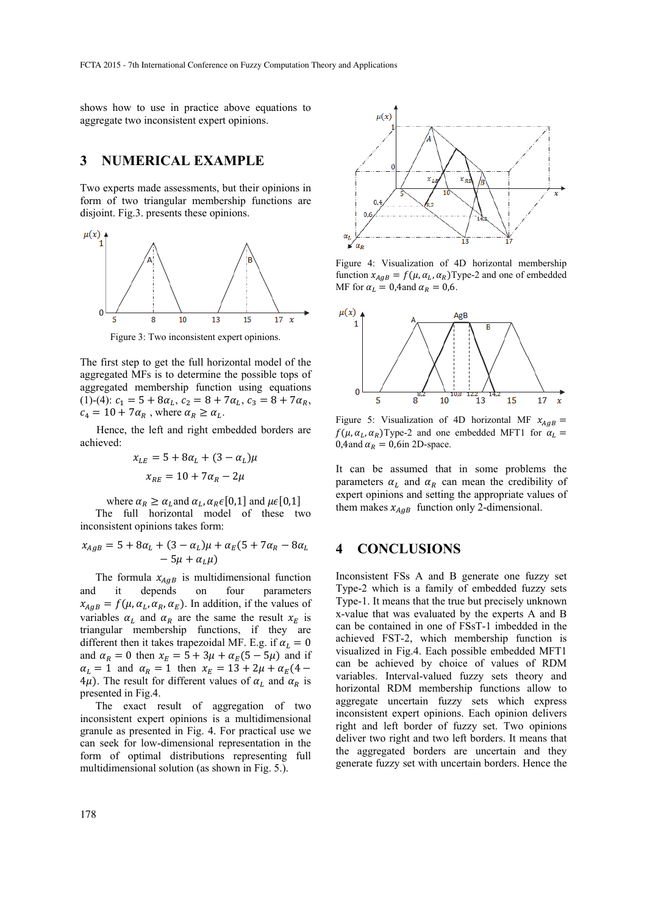shows how to use in practice above equations to aggregate two inconsistent expert opinions.

#### **3 NUMERICAL EXAMPLE**

Two experts made assessments, but their opinions in form of two triangular membership functions are disjoint. Fig.3. presents these opinions.



Figure 3: Two inconsistent expert opinions.

The first step to get the full horizontal model of the aggregated MFs is to determine the possible tops of aggregated membership function using equations (1)-(4):  $c_1 = 5 + 8\alpha_L$ ,  $c_2 = 8 + 7\alpha_L$ ,  $c_3 = 8 + 7\alpha_R$ ,  $c_4 = 10 + 7\alpha_R$ , where  $\alpha_R \ge \alpha_L$ .

Hence, the left and right embedded borders are achieved:

$$
x_{LE} = 5 + 8\alpha_L + (3 - \alpha_L)\mu
$$

$$
x_{RE} = 10 + 7\alpha_R - 2\mu
$$

where  $\alpha_R \geq \alpha_L$  and  $\alpha_L$ ,  $\alpha_R \in [0,1]$  and  $\mu \in [0,1]$ 

The full horizontal model of these two inconsistent opinions takes form:

$$
x_{AgB} = 5 + 8\alpha_L + (3 - \alpha_L)\mu + \alpha_E(5 + 7\alpha_R - 8\alpha_L - 5\mu + \alpha_L\mu)
$$

The formula  $x_{A \cap B}$  is multidimensional function and it depends on four parameters  $x_{A g B} = f(\mu, \alpha_L, \alpha_R, \alpha_E)$ . In addition, if the values of variables  $\alpha_L$  and  $\alpha_R$  are the same the result  $x_F$  is triangular membership functions, if they are different then it takes trapezoidal MF. E.g. if  $\alpha_L = 0$ and  $\alpha_R = 0$  then  $x_E = 5 + 3\mu + \alpha_E(5 - 5\mu)$  and if  $\alpha_L = 1$  and  $\alpha_R = 1$  then  $x_E = 13 + 2\mu + \alpha_E(4 4\mu$ ). The result for different values of  $\alpha_L$  and  $\alpha_R$  is presented in Fig.4.

The exact result of aggregation of two inconsistent expert opinions is a multidimensional granule as presented in Fig. 4. For practical use we can seek for low-dimensional representation in the form of optimal distributions representing full multidimensional solution (as shown in Fig. 5.).



Figure 4: Visualization of 4D horizontal membership function  $x_{AgB} = f(\mu, \alpha_L, \alpha_R)$ Type-2 and one of embedded MF for  $\alpha_L = 0,4$  and  $\alpha_R = 0,6$ .



Figure 5: Visualization of 4D horizontal MF  $x_{AgB}$  =  $f(\mu, \alpha_L, \alpha_R)$ Type-2 and one embedded MFT1 for  $\alpha_L$  = 0,4and  $\alpha_R = 0$ ,6in 2D-space.

It can be assumed that in some problems the parameters  $\alpha_L$  and  $\alpha_R$  can mean the credibility of expert opinions and setting the appropriate values of them makes  $x_{AaB}$  function only 2-dimensional.

#### **4 CONCLUSIONS**

Inconsistent FSs A and B generate one fuzzy set Type-2 which is a family of embedded fuzzy sets Type-1. It means that the true but precisely unknown x-value that was evaluated by the experts A and B can be contained in one of FSsT-1 imbedded in the achieved FST-2, which membership function is visualized in Fig.4. Each possible embedded MFT1 can be achieved by choice of values of RDM variables. Interval-valued fuzzy sets theory and horizontal RDM membership functions allow to aggregate uncertain fuzzy sets which express inconsistent expert opinions. Each opinion delivers right and left border of fuzzy set. Two opinions deliver two right and two left borders. It means that the aggregated borders are uncertain and they generate fuzzy set with uncertain borders. Hence the